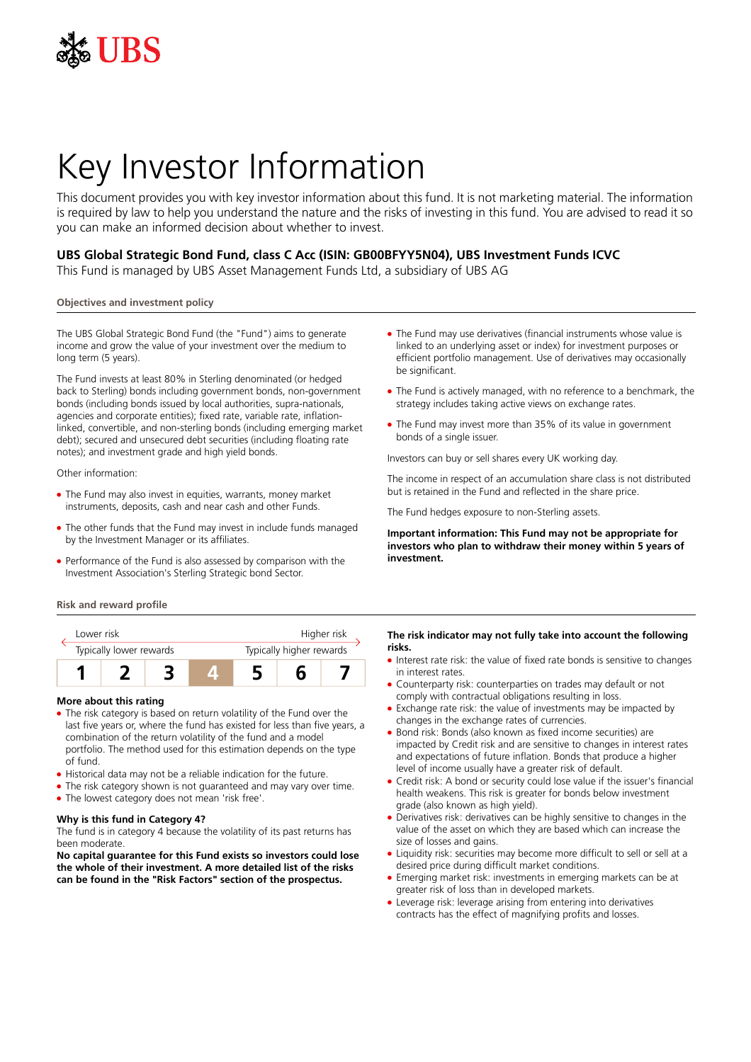

# Key Investor Information

This document provides you with key investor information about this fund. It is not marketing material. The information is required by law to help you understand the nature and the risks of investing in this fund. You are advised to read it so you can make an informed decision about whether to invest.

# **UBS Global Strategic Bond Fund, class C Acc (ISIN: GB00BFYY5N04), UBS Investment Funds ICVC**

This Fund is managed by UBS Asset Management Funds Ltd, a subsidiary of UBS AG

## **Objectives and investment policy**

The UBS Global Strategic Bond Fund (the "Fund") aims to generate income and grow the value of your investment over the medium to long term (5 years).

The Fund invests at least 80% in Sterling denominated (or hedged back to Sterling) bonds including government bonds, non-government bonds (including bonds issued by local authorities, supra-nationals, agencies and corporate entities); fixed rate, variable rate, inflationlinked, convertible, and non-sterling bonds (including emerging market debt); secured and unsecured debt securities (including floating rate notes); and investment grade and high yield bonds.

Other information:

- The Fund may also invest in equities, warrants, money market instruments, deposits, cash and near cash and other Funds.
- The other funds that the Fund may invest in include funds managed by the Investment Manager or its affiliates.
- Performance of the Fund is also assessed by comparison with the Investment Association's Sterling Strategic bond Sector.
- **Risk and reward profile**



## **More about this rating**

- The risk category is based on return volatility of the Fund over the last five years or, where the fund has existed for less than five years, a combination of the return volatility of the fund and a model portfolio. The method used for this estimation depends on the type of fund.
- Historical data may not be a reliable indication for the future.
- The risk category shown is not guaranteed and may vary over time.
- The lowest category does not mean 'risk free'.

#### **Why is this fund in Category 4?**

The fund is in category 4 because the volatility of its past returns has been moderate.

**No capital guarantee for this Fund exists so investors could lose the whole of their investment. A more detailed list of the risks can be found in the "Risk Factors" section of the prospectus.**

- The Fund may use derivatives (financial instruments whose value is linked to an underlying asset or index) for investment purposes or efficient portfolio management. Use of derivatives may occasionally be significant.
- The Fund is actively managed, with no reference to a benchmark, the strategy includes taking active views on exchange rates.
- The Fund may invest more than 35% of its value in government bonds of a single issuer.

Investors can buy or sell shares every UK working day.

The income in respect of an accumulation share class is not distributed but is retained in the Fund and reflected in the share price.

The Fund hedges exposure to non-Sterling assets.

**Important information: This Fund may not be appropriate for investors who plan to withdraw their money within 5 years of investment.**

### **The risk indicator may not fully take into account the following risks.**

- Interest rate risk: the value of fixed rate bonds is sensitive to changes in interest rates.
- 5 Counterparty risk: counterparties on trades may default or not comply with contractual obligations resulting in loss.
- Exchange rate risk: the value of investments may be impacted by changes in the exchange rates of currencies.
- 5 Bond risk: Bonds (also known as fixed income securities) are impacted by Credit risk and are sensitive to changes in interest rates and expectations of future inflation. Bonds that produce a higher level of income usually have a greater risk of default.
- Credit risk: A bond or security could lose value if the issuer's financial health weakens. This risk is greater for bonds below investment grade (also known as high yield).
- Derivatives risk: derivatives can be highly sensitive to changes in the value of the asset on which they are based which can increase the size of losses and gains.
- Liquidity risk: securities may become more difficult to sell or sell at a desired price during difficult market conditions.
- 5 Emerging market risk: investments in emerging markets can be at greater risk of loss than in developed markets.
- 5 Leverage risk: leverage arising from entering into derivatives contracts has the effect of magnifying profits and losses.